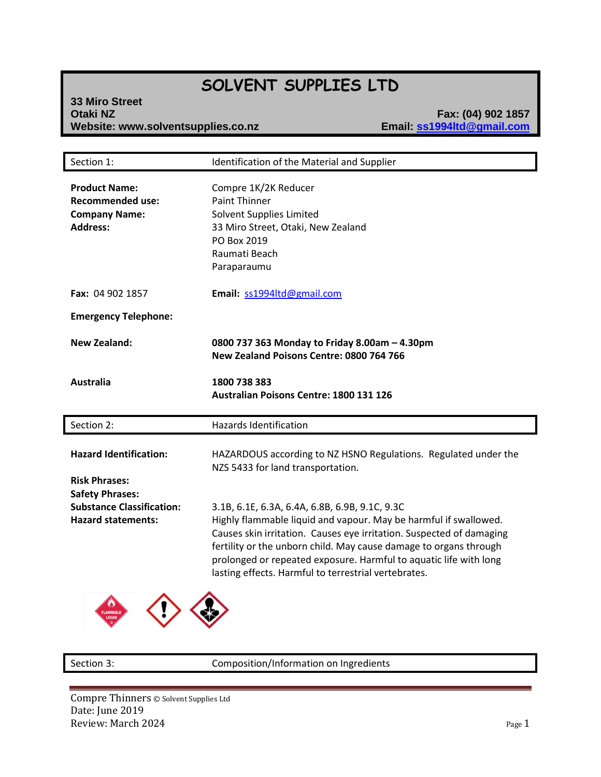# **SOLVENT SUPPLIES LTD**

**33 Miro Street Website: www.solventsupplies.co.nz** 

**Email: Sample 1988**<br> **Email: Sangle 1994Itd@gmail.com** 

| Section 1:                                                                                 | Identification of the Material and Supplier                                                                                                                                                                                                                                                                                                                                                  |
|--------------------------------------------------------------------------------------------|----------------------------------------------------------------------------------------------------------------------------------------------------------------------------------------------------------------------------------------------------------------------------------------------------------------------------------------------------------------------------------------------|
| <b>Product Name:</b><br><b>Recommended use:</b><br><b>Company Name:</b><br><b>Address:</b> | Compre 1K/2K Reducer<br><b>Paint Thinner</b><br>Solvent Supplies Limited<br>33 Miro Street, Otaki, New Zealand<br>PO Box 2019<br>Raumati Beach<br>Paraparaumu                                                                                                                                                                                                                                |
| Fax: 04 902 1857                                                                           | Email: ss1994ltd@gmail.com                                                                                                                                                                                                                                                                                                                                                                   |
| <b>Emergency Telephone:</b>                                                                |                                                                                                                                                                                                                                                                                                                                                                                              |
| <b>New Zealand:</b>                                                                        | 0800 737 363 Monday to Friday 8.00am - 4.30pm<br>New Zealand Poisons Centre: 0800 764 766                                                                                                                                                                                                                                                                                                    |
| Australia                                                                                  | 1800 738 383<br><b>Australian Poisons Centre: 1800 131 126</b>                                                                                                                                                                                                                                                                                                                               |
| Section 2:                                                                                 | Hazards Identification                                                                                                                                                                                                                                                                                                                                                                       |
| <b>Hazard Identification:</b><br><b>Risk Phrases:</b><br><b>Safety Phrases:</b>            | HAZARDOUS according to NZ HSNO Regulations. Regulated under the<br>NZS 5433 for land transportation.                                                                                                                                                                                                                                                                                         |
| <b>Substance Classification:</b><br><b>Hazard statements:</b>                              | 3.1B, 6.1E, 6.3A, 6.4A, 6.8B, 6.9B, 9.1C, 9.3C<br>Highly flammable liquid and vapour. May be harmful if swallowed.<br>Causes skin irritation. Causes eye irritation. Suspected of damaging<br>fertility or the unborn child. May cause damage to organs through<br>prolonged or repeated exposure. Harmful to aquatic life with long<br>lasting effects. Harmful to terrestrial vertebrates. |

Section 3: Composition/Information on Ingredients

Compre Thinners © Solvent Supplies Ltd Date: June 2019 Review: March 2024 Page 1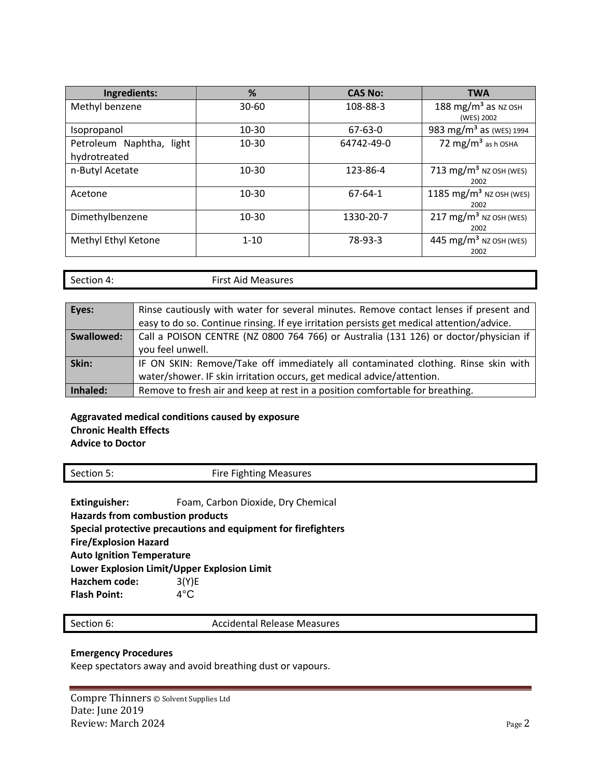| Ingredients:             | %                     | <b>CAS No:</b> | <b>TWA</b>                          |  |
|--------------------------|-----------------------|----------------|-------------------------------------|--|
| Methyl benzene           | 108-88-3<br>$30 - 60$ |                | 188 mg/m <sup>3</sup> as NZ OSH     |  |
|                          |                       |                | (WES) 2002                          |  |
| Isopropanol              | 10-30                 | 67-63-0        | 983 mg/m <sup>3</sup> as (WES) 1994 |  |
| Petroleum Naphtha, light | 10-30                 | 64742-49-0     | 72 mg/m <sup>3</sup> as h OSHA      |  |
| hydrotreated             |                       |                |                                     |  |
| n-Butyl Acetate          | 10-30                 | 123-86-4       | 713 mg/m <sup>3</sup> NZ OSH (WES)  |  |
|                          |                       |                | 2002                                |  |
| Acetone                  | $10 - 30$             | 67-64-1        | 1185 mg/m <sup>3</sup> NZ OSH (WES) |  |
|                          |                       |                | 2002                                |  |
| Dimethylbenzene          | 10-30                 | 1330-20-7      | 217 mg/m <sup>3</sup> NZ OSH (WES)  |  |
|                          |                       |                | 2002                                |  |
| Methyl Ethyl Ketone      | $1 - 10$              | 78-93-3        | 445 mg/m <sup>3</sup> NZ OSH (WES)  |  |
|                          |                       |                | 2002                                |  |

Section 4: First Aid Measures

| Eyes:      | Rinse cautiously with water for several minutes. Remove contact lenses if present and     |
|------------|-------------------------------------------------------------------------------------------|
|            | easy to do so. Continue rinsing. If eye irritation persists get medical attention/advice. |
| Swallowed: | Call a POISON CENTRE (NZ 0800 764 766) or Australia (131 126) or doctor/physician if      |
|            | you feel unwell.                                                                          |
| Skin:      | IF ON SKIN: Remove/Take off immediately all contaminated clothing. Rinse skin with        |
|            | water/shower. IF skin irritation occurs, get medical advice/attention.                    |
| Inhaled:   | Remove to fresh air and keep at rest in a position comfortable for breathing.             |

#### **Aggravated medical conditions caused by exposure Chronic Health Effects Advice to Doctor**

| Section 5: | <b>Fire Fighting Measures</b> |
|------------|-------------------------------|
|            |                               |

Extinguisher: Foam, Carbon Dioxide, Dry Chemical **Hazards from combustion products Special protective precautions and equipment for firefighters Fire/Explosion Hazard Auto Ignition Temperature Lower Explosion Limit/Upper Explosion Limit Hazchem code:** 3(Y)E **Flash Point:** 4°C

Section 6: Campioneer Contract Accidental Release Measures

## **Emergency Procedures**

Keep spectators away and avoid breathing dust or vapours.

Compre Thinners © Solvent Supplies Ltd Date: June 2019 Review: March 2024 Page 2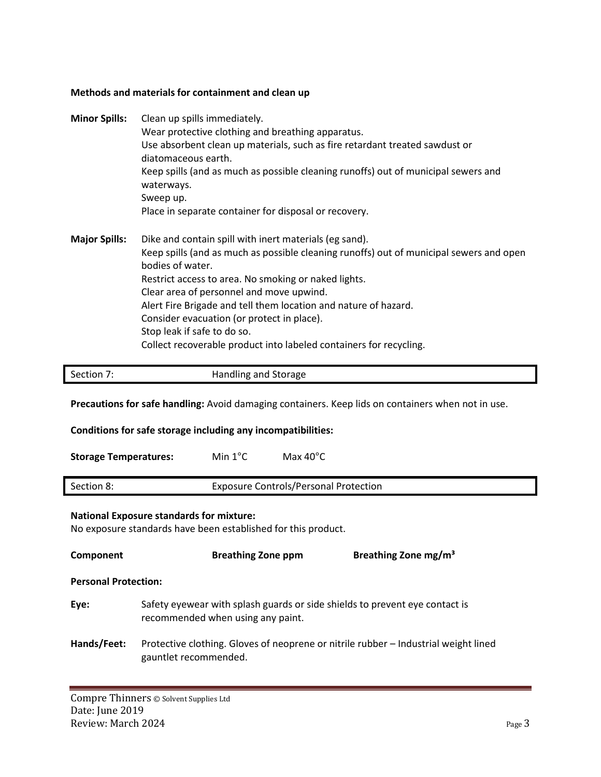### **Methods and materials for containment and clean up**

| <b>Minor Spills:</b> | Clean up spills immediately.<br>Wear protective clothing and breathing apparatus.<br>Use absorbent clean up materials, such as fire retardant treated sawdust or<br>diatomaceous earth.<br>Keep spills (and as much as possible cleaning runoffs) out of municipal sewers and<br>waterways.<br>Sweep up.<br>Place in separate container for disposal or recovery.                                                                                                                               |
|----------------------|-------------------------------------------------------------------------------------------------------------------------------------------------------------------------------------------------------------------------------------------------------------------------------------------------------------------------------------------------------------------------------------------------------------------------------------------------------------------------------------------------|
| <b>Major Spills:</b> | Dike and contain spill with inert materials (eg sand).<br>Keep spills (and as much as possible cleaning runoffs) out of municipal sewers and open<br>bodies of water.<br>Restrict access to area. No smoking or naked lights.<br>Clear area of personnel and move upwind.<br>Alert Fire Brigade and tell them location and nature of hazard.<br>Consider evacuation (or protect in place).<br>Stop leak if safe to do so.<br>Collect recoverable product into labeled containers for recycling. |

| Section 7: | Handling and Storage |
|------------|----------------------|

**Precautions for safe handling:** Avoid damaging containers. Keep lids on containers when not in use.

**Conditions for safe storage including any incompatibilities:**

**Storage Temperatures:** Min 1°C Max 40°C

| Section 8: | <b>Exposure Controls/Personal Protection</b> |
|------------|----------------------------------------------|
|            |                                              |

## **National Exposure standards for mixture:**

No exposure standards have been established for this product.

| Component                   | <b>Breathing Zone ppm</b>                                                                                        | Breathing Zone mg/m <sup>3</sup> |
|-----------------------------|------------------------------------------------------------------------------------------------------------------|----------------------------------|
| <b>Personal Protection:</b> |                                                                                                                  |                                  |
| Eye:                        | Safety eyewear with splash guards or side shields to prevent eye contact is<br>recommended when using any paint. |                                  |
| Hands/Feet:                 | Protective clothing. Gloves of neoprene or nitrile rubber – Industrial weight lined<br>gauntlet recommended.     |                                  |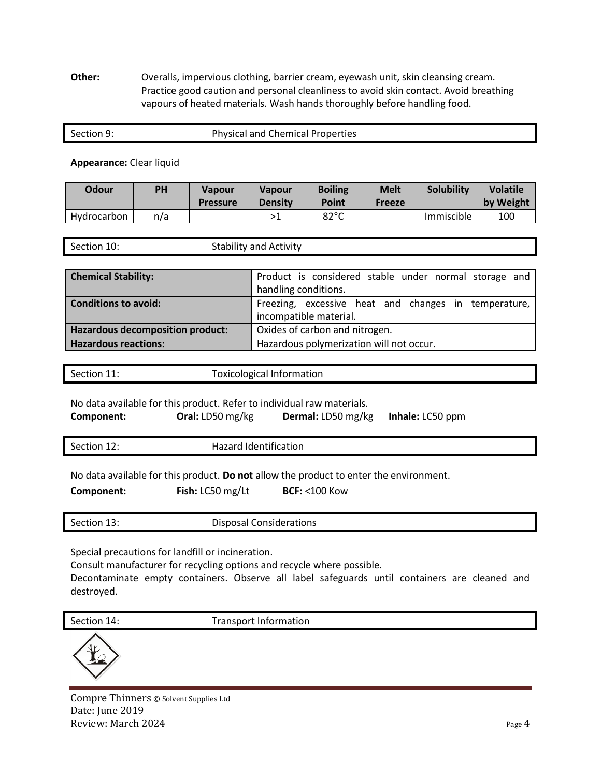**Other:** Overalls, impervious clothing, barrier cream, eyewash unit, skin cleansing cream. Practice good caution and personal cleanliness to avoid skin contact. Avoid breathing vapours of heated materials. Wash hands thoroughly before handling food.

| Section 9: | <b>Physical and Chemical Properties</b> |
|------------|-----------------------------------------|
|            |                                         |

#### **Appearance:** Clear liquid

| Odour       | <b>PH</b> | <b>Vapour</b><br><b>Pressure</b> | <b>Vapour</b><br><b>Density</b> | <b>Boiling</b><br>Point | <b>Melt</b><br><b>Freeze</b> | Solubility | <b>Volatile</b><br>by Weight |
|-------------|-----------|----------------------------------|---------------------------------|-------------------------|------------------------------|------------|------------------------------|
| Hydrocarbon | n/a       |                                  |                                 | $82^{\circ}$ C          |                              | Immiscible | 100                          |

| Section 10: | <b>Stability and Activity</b> |
|-------------|-------------------------------|
|-------------|-------------------------------|

| <b>Chemical Stability:</b>       | Product is considered stable under normal storage and |  |  |
|----------------------------------|-------------------------------------------------------|--|--|
|                                  | handling conditions.                                  |  |  |
| <b>Conditions to avoid:</b>      | Freezing, excessive heat and changes in temperature,  |  |  |
|                                  | incompatible material.                                |  |  |
| Hazardous decomposition product: | Oxides of carbon and nitrogen.                        |  |  |
| <b>Hazardous reactions:</b>      | Hazardous polymerization will not occur.              |  |  |

Section 11: Toxicological Information

No data available for this product. Refer to individual raw materials.

**Component: Oral:** LD50 mg/kg **Dermal:** LD50 mg/kg **Inhale:** LC50 ppm

Section 12: **Hazard Identification** 

No data available for this product. **Do not** allow the product to enter the environment.

**Component: Fish:** LC50 mg/Lt **BCF:** <100 Kow

| $\sim$<br>Section<br><b>. J.</b> | Disposal Considerations |
|----------------------------------|-------------------------|
|                                  |                         |
|                                  |                         |

Special precautions for landfill or incineration.

Consult manufacturer for recycling options and recycle where possible.

Decontaminate empty containers. Observe all label safeguards until containers are cleaned and destroyed.

Section 14: Transport Information



Compre Thinners © Solvent Supplies Ltd Date: June 2019 Review: March 2024 Page 4